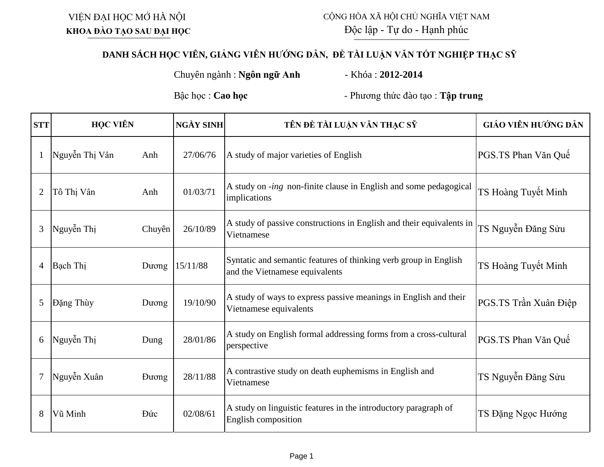VIỆN ĐẠI HỌC MỞ HÀ NỘI **KHOA ĐÀO TẠO SAU ĐẠI HỌC**

## **DANH SÁCH HỌC VIÊN, GIẢNG VIÊN HƯỚNG DẪN, ĐỀ TÀI LUẬN VĂN TỐT NGHIỆP THẠC SỸ**

Chuyên ngành : **Ngôn ngữ Anh** - Khóa : **2012-2014**

Bậc học : **Cao học** - Phương thức đào tạo : **Tập trung** 

| <b>STT</b>     | <b>HỌC VIÊN</b> |              | <b>NGÀY SINH</b> | TÊN ĐỀ TÀI LUẬN VĂN THẠC SĨ                                                                        | GIÁO VIÊN HƯỚNG DẦN   |
|----------------|-----------------|--------------|------------------|----------------------------------------------------------------------------------------------------|-----------------------|
|                | Nguyễn Thị Vân  | Anh          | 27/06/76         | A study of major varieties of English                                                              | PGS.TS Phan Văn Quế   |
| $\overline{2}$ | Tô Thị Vân      | Anh          | 01/03/71         | A study on -ing non-finite clause in English and some pedagogical<br>implications                  | TS Hoàng Tuyết Minh   |
| 3              | Nguyễn Thị      | Chuyên       | 26/10/89         | A study of passive constructions in English and their equivalents in<br>Vietnamese                 | TS Nguyễn Đăng Sửu    |
| $\overline{4}$ | Bạch Thị        | Duong        | 15/11/88         | Syntatic and semantic features of thinking verb group in English<br>and the Vietnamese equivalents | TS Hoàng Tuyết Minh   |
| 5              | Đặng Thùy       | Duong        | 19/10/90         | A study of ways to express passive meanings in English and their<br>Vietnamese equivalents         | PGS.TS Trần Xuân Điệp |
| 6              | Nguyễn Thị      | Dung         | 28/01/86         | A study on English formal addressing forms from a cross-cultural<br>perspective                    | PGS.TS Phan Văn Quế   |
|                | Nguyễn Xuân     | <b>Duong</b> | 28/11/88         | A contrastive study on death euphemisms in English and<br>Vietnamese                               | TS Nguyễn Đăng Sửu    |
| 8              | Vũ Minh         | Đức          | 02/08/61         | A study on linguistic features in the introductory paragraph of<br>English composition             | TS Đặng Ngọc Hướng    |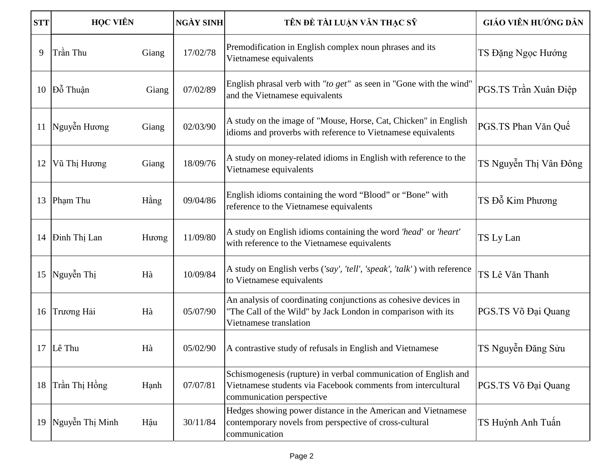| <b>STT</b> | <b>HỌC VIÊN</b> |       | <b>NGÀY SINH</b> | TÊN ĐỀ TÀI LUẬN VĂN THẠC SĨ                                                                                                                                  | GIÁO VIÊN HƯỚNG DẦN    |
|------------|-----------------|-------|------------------|--------------------------------------------------------------------------------------------------------------------------------------------------------------|------------------------|
| 9          | Trần Thu        | Giang | 17/02/78         | Premodification in English complex noun phrases and its<br>Vietnamese equivalents                                                                            | TS Đặng Ngọc Hướng     |
| 10         | Đỗ Thuận        | Giang | 07/02/89         | English phrasal verb with "to get" as seen in "Gone with the wind"<br>and the Vietnamese equivalents                                                         | PGS.TS Trần Xuân Điệp  |
|            | 11 Nguyễn Hương | Giang | 02/03/90         | A study on the image of "Mouse, Horse, Cat, Chicken" in English<br>idioms and proverbs with reference to Vietnamese equivalents                              | PGS.TS Phan Văn Quế    |
| 12         | Vũ Thị Hương    | Giang | 18/09/76         | A study on money-related idioms in English with reference to the<br>Vietnamese equivalents                                                                   | TS Nguyễn Thị Vân Đông |
| 13         | Pham Thu        | Hằng  | 09/04/86         | English idioms containing the word "Blood" or "Bone" with<br>reference to the Vietnamese equivalents                                                         | TS Đỗ Kim Phương       |
|            | 14 Dinh Thị Lan | Hương | 11/09/80         | A study on English idioms containing the word 'head' or 'heart'<br>with reference to the Vietnamese equivalents                                              | TS Ly Lan              |
| 15         | Nguyễn Thị      | Hà    | 10/09/84         | A study on English verbs ('say', 'tell', 'speak', 'talk') with reference<br>to Vietnamese equivalents                                                        | TS Lê Văn Thanh        |
| 16         | Trương Hải      | Hà    | 05/07/90         | An analysis of coordinating conjunctions as cohesive devices in<br>"The Call of the Wild" by Jack London in comparison with its<br>Vietnamese translation    | PGS.TS Võ Đại Quang    |
|            | $17$ Lê Thu     | Hà    | 05/02/90         | A contrastive study of refusals in English and Vietnamese                                                                                                    | TS Nguyễn Đăng Sửu     |
| 18         | Trần Thị Hồng   | Hạnh  | 07/07/81         | Schismogenesis (rupture) in verbal communication of English and<br>Vietnamese students via Facebook comments from intercultural<br>communication perspective | PGS.TS Võ Đại Quang    |
| 19         | Nguyễn Thị Minh | Hậu   | 30/11/84         | Hedges showing power distance in the American and Vietnamese<br>contemporary novels from perspective of cross-cultural<br>communication                      | TS Huỳnh Anh Tuấn      |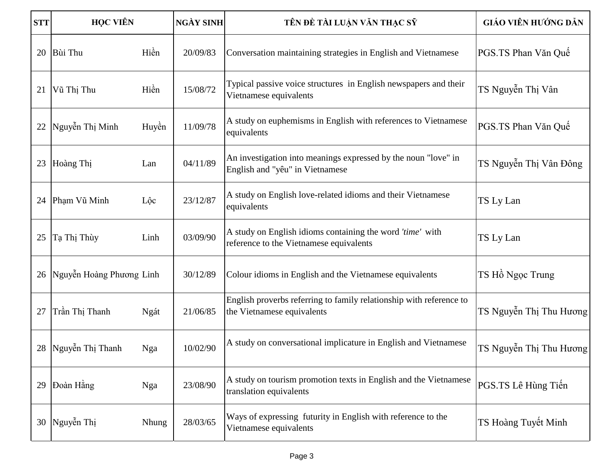| <b>STT</b> | <b>HỌC VIÊN</b>          |       | <b>NGÀY SINH</b> | TÊN ĐỀ TÀI LUẬN VĂN THẠC SĨ                                                                          | GIÁO VIÊN HƯỚNG DẦN     |
|------------|--------------------------|-------|------------------|------------------------------------------------------------------------------------------------------|-------------------------|
| 20         | <b>Bùi Thu</b>           | Hiền  | 20/09/83         | Conversation maintaining strategies in English and Vietnamese                                        | PGS.TS Phan Văn Quế     |
| 21         | Vũ Thị Thu               | Hiền  | 15/08/72         | Typical passive voice structures in English newspapers and their<br>Vietnamese equivalents           | TS Nguyễn Thị Vân       |
| 22         | Nguyễn Thị Minh          | Huyền | 11/09/78         | A study on euphemisms in English with references to Vietnamese<br>equivalents                        | PGS.TS Phan Văn Quế     |
| 23         | Hoàng Thị                | Lan   | 04/11/89         | An investigation into meanings expressed by the noun "love" in<br>English and "yêu" in Vietnamese    | TS Nguyễn Thị Vân Đông  |
| 24         | Pham Vũ Minh             | Lộc   | 23/12/87         | A study on English love-related idioms and their Vietnamese<br>equivalents                           | TS Ly Lan               |
| 25         | Tạ Thị Thùy              | Linh  | 03/09/90         | A study on English idioms containing the word 'time' with<br>reference to the Vietnamese equivalents | TS Ly Lan               |
| 26         | Nguyễn Hoàng Phương Linh |       | 30/12/89         | Colour idioms in English and the Vietnamese equivalents                                              | TS Hồ Ngọc Trung        |
| 27         | Trần Thị Thanh           | Ngát  | 21/06/85         | English proverbs referring to family relationship with reference to<br>the Vietnamese equivalents    | TS Nguyễn Thị Thu Hương |
|            | 28 Nguyễn Thị Thanh      | Nga   | 10/02/90         | A study on conversational implicature in English and Vietnamese                                      | TS Nguyễn Thị Thu Hương |
| 29         | Đoàn Hằng                | Nga   | 23/08/90         | A study on tourism promotion texts in English and the Vietnamese<br>translation equivalents          | PGS.TS Lê Hùng Tiến     |
|            | 30 Nguyễn Thị            | Nhung | 28/03/65         | Ways of expressing futurity in English with reference to the<br>Vietnamese equivalents               | TS Hoàng Tuyết Minh     |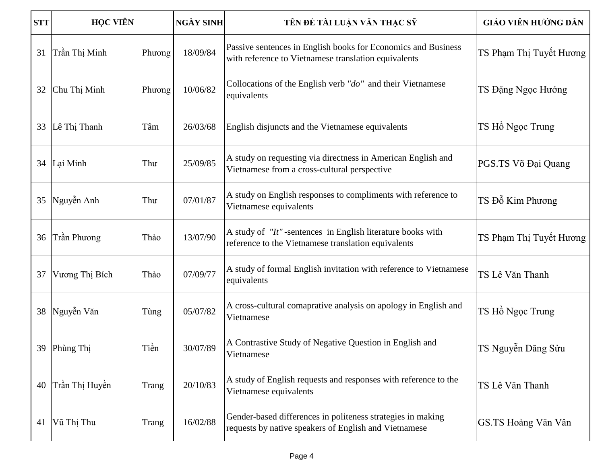| <b>STT</b> | <b>HỌC VIÊN</b> |        | <b>NGÀY SINH</b> | TÊN ĐỀ TÀI LUẬN VĂN THẠC SĨ                                                                                           | GIÁO VIÊN HƯỚNG DẦN     |
|------------|-----------------|--------|------------------|-----------------------------------------------------------------------------------------------------------------------|-------------------------|
| 31         | Trần Thị Minh   | Phương | 18/09/84         | Passive sentences in English books for Economics and Business<br>with reference to Vietnamese translation equivalents | TS Phạm Thị Tuyết Hương |
| 32         | Chu Thị Minh    | Phương | 10/06/82         | Collocations of the English verb "do" and their Vietnamese<br>equivalents                                             | TS Đặng Ngọc Hướng      |
| 33         | Lê Thị Thanh    | Tâm    | 26/03/68         | English disjuncts and the Vietnamese equivalents                                                                      | TS Hồ Ngọc Trung        |
|            | 34 Lai Minh     | Thư    | 25/09/85         | A study on requesting via directness in American English and<br>Vietnamese from a cross-cultural perspective          | PGS.TS Võ Đại Quang     |
| 35         | Nguyễn Anh      | Thư    | 07/01/87         | A study on English responses to compliments with reference to<br>Vietnamese equivalents                               | TS Đỗ Kim Phương        |
| 36         | Trần Phương     | Thảo   | 13/07/90         | A study of "It"-sentences in English literature books with<br>reference to the Vietnamese translation equivalents     | TS Phạm Thị Tuyết Hương |
| 37         | Vương Thị Bích  | Thảo   | 07/09/77         | A study of formal English invitation with reference to Vietnamese<br>equivalents                                      | TS Lê Văn Thanh         |
| 38         | Nguyễn Văn      | Tùng   | 05/07/82         | A cross-cultural comaprative analysis on apology in English and<br>Vietnamese                                         | TS Hồ Ngọc Trung        |
|            | 39 Phùng Thị    | Tiền   | 30/07/89         | A Contrastive Study of Negative Question in English and<br>Vietnamese                                                 | TS Nguyễn Đăng Sửu      |
| 40         | Trần Thị Huyền  | Trang  | 20/10/83         | A study of English requests and responses with reference to the<br>Vietnamese equivalents                             | TS Lê Văn Thanh         |
| 41         | Vũ Thị Thu      | Trang  | 16/02/88         | Gender-based differences in politeness strategies in making<br>requests by native speakers of English and Vietnamese  | GS.TS Hoàng Văn Vân     |